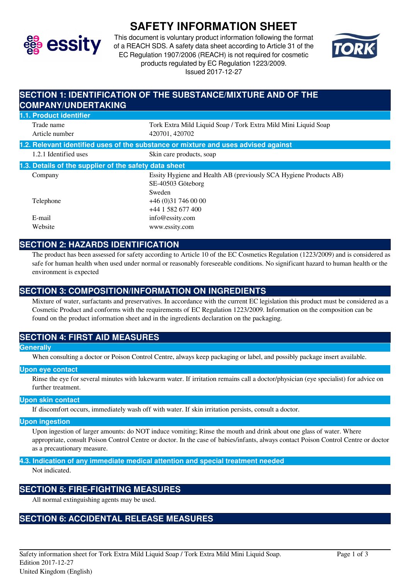

# **SAFETY INFORMATION SHEET**

This document is voluntary product information following the format of a REACH SDS. A safety data sheet according to Article 31 of the EC Regulation 1907/2006 (REACH) is not required for cosmetic products regulated by EC Regulation 1223/2009. Issued 2017-12-27



### **SECTION 1: IDENTIFICATION OF THE SUBSTANCE/MIXTURE AND OF THE COMPANY/UNDERTAKING 1.1. Product identifier** Trade name Tork Extra Mild Liquid Soap / Tork Extra Mild Mini Liquid Soap Article number 420701, 420702 **1.2. Relevant identified uses of the substance or mixture and uses advised against** 1.2.1 Identified uses Skin care products, soap **1.3. Details of the supplier of the safety data sheet** Company Essity Hygiene and Health AB (previously SCA Hygiene Products AB) SE-40503 Göteborg Sweden Telephone +46 (0)31 746 00 00 +44 1 582 677 400 E-mail info@essity.com Website www.essity.com

# **SECTION 2: HAZARDS IDENTIFICATION**

The product has been assessed for safety according to Article 10 of the EC Cosmetics Regulation (1223/2009) and is considered as safe for human health when used under normal or reasonably foreseeable conditions. No significant hazard to human health or the environment is expected

# **SECTION 3: COMPOSITION/INFORMATION ON INGREDIENTS**

Mixture of water, surfactants and preservatives. In accordance with the current EC legislation this product must be considered as a Cosmetic Product and conforms with the requirements of EC Regulation 1223/2009. Information on the composition can be found on the product information sheet and in the ingredients declaration on the packaging.

# **SECTION 4: FIRST AID MEASURES**

#### **Generally**

When consulting a doctor or Poison Control Centre, always keep packaging or label, and possibly package insert available.

#### **Upon eye contact**

Rinse the eye for several minutes with lukewarm water. If irritation remains call a doctor/physician (eye specialist) for advice on further treatment.

### **Upon skin contact**

If discomfort occurs, immediately wash off with water. If skin irritation persists, consult a doctor.

#### **Upon ingestion**

Upon ingestion of larger amounts: do NOT induce vomiting; Rinse the mouth and drink about one glass of water. Where appropriate, consult Poison Control Centre or doctor. In the case of babies/infants, always contact Poison Control Centre or doctor as a precautionary measure.

### **4.3. Indication of any immediate medical attention and special treatment needed**

Not indicated.

### **SECTION 5: FIRE-FIGHTING MEASURES**

All normal extinguishing agents may be used.

### **SECTION 6: ACCIDENTAL RELEASE MEASURES**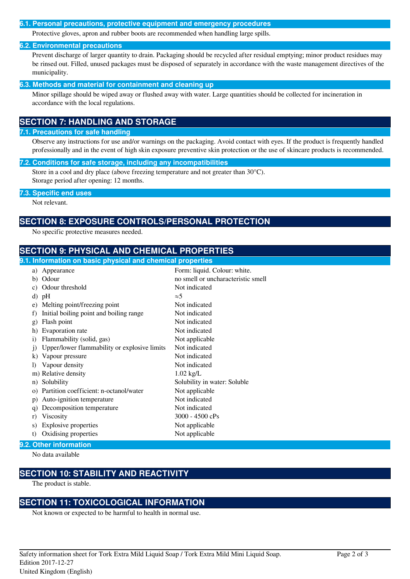#### **6.1. Personal precautions, protective equipment and emergency procedures**

Protective gloves, apron and rubber boots are recommended when handling large spills.

#### **6.2. Environmental precautions**

Prevent discharge of larger quantity to drain. Packaging should be recycled after residual emptying; minor product residues may be rinsed out. Filled, unused packages must be disposed of separately in accordance with the waste management directives of the municipality.

#### **6.3. Methods and material for containment and cleaning up**

Minor spillage should be wiped away or flushed away with water. Large quantities should be collected for incineration in accordance with the local regulations.

# **SECTION 7: HANDLING AND STORAGE**

#### **7.1. Precautions for safe handling**

Observe any instructions for use and/or warnings on the packaging. Avoid contact with eyes. If the product is frequently handled professionally and in the event of high skin exposure preventive skin protection or the use of skincare products is recommended.

#### **7.2. Conditions for safe storage, including any incompatibilities**

Store in a cool and dry place (above freezing temperature and not greater than 30°C). Storage period after opening: 12 months.

#### **7.3. Specific end uses**

Not relevant.

### **SECTION 8: EXPOSURE CONTROLS/PERSONAL PROTECTION**

No specific protective measures needed.

# **SECTION 9: PHYSICAL AND CHEMICAL PROPERTIES**

### **9.1. Information on basic physical and chemical properties**

| Odour<br>b)<br>Not indicated<br>Odour threshold<br>C)<br>$\approx$ 5<br>d)<br>pH<br>Not indicated<br>Melting point/freezing point<br>e)<br>Not indicated<br>Initial boiling point and boiling range<br>f)<br>Not indicated<br>Flash point<br>$g$ )<br>Not indicated<br>Evaporation rate<br>h)<br>Not applicable<br>Flammability (solid, gas)<br>$\mathbf{i}$<br>Not indicated<br>Upper/lower flammability or explosive limits<br>$\dot{1}$<br>Not indicated<br>Vapour pressure<br>$\bf{k}$<br>Not indicated<br>Vapour density<br>$\bf{D}$<br>m) Relative density<br>$1.02$ kg/L<br>Solubility in water: Soluble<br>n) Solubility<br>Partition coefficient: n-octanol/water<br>Not applicable<br>$\Omega$ )<br>Not indicated<br>Auto-ignition temperature<br>p)<br>Not indicated<br>Decomposition temperature<br>q)<br>$3000 - 4500$ cPs<br><b>Viscosity</b><br>r)<br>Explosive properties<br>Not applicable<br>S)<br>t) | a) | Appearance           | Form: liquid. Colour: white.       |
|-------------------------------------------------------------------------------------------------------------------------------------------------------------------------------------------------------------------------------------------------------------------------------------------------------------------------------------------------------------------------------------------------------------------------------------------------------------------------------------------------------------------------------------------------------------------------------------------------------------------------------------------------------------------------------------------------------------------------------------------------------------------------------------------------------------------------------------------------------------------------------------------------------------------------|----|----------------------|------------------------------------|
|                                                                                                                                                                                                                                                                                                                                                                                                                                                                                                                                                                                                                                                                                                                                                                                                                                                                                                                         |    |                      | no smell or uncharacteristic smell |
|                                                                                                                                                                                                                                                                                                                                                                                                                                                                                                                                                                                                                                                                                                                                                                                                                                                                                                                         |    |                      |                                    |
|                                                                                                                                                                                                                                                                                                                                                                                                                                                                                                                                                                                                                                                                                                                                                                                                                                                                                                                         |    |                      |                                    |
|                                                                                                                                                                                                                                                                                                                                                                                                                                                                                                                                                                                                                                                                                                                                                                                                                                                                                                                         |    |                      |                                    |
|                                                                                                                                                                                                                                                                                                                                                                                                                                                                                                                                                                                                                                                                                                                                                                                                                                                                                                                         |    |                      |                                    |
|                                                                                                                                                                                                                                                                                                                                                                                                                                                                                                                                                                                                                                                                                                                                                                                                                                                                                                                         |    |                      |                                    |
|                                                                                                                                                                                                                                                                                                                                                                                                                                                                                                                                                                                                                                                                                                                                                                                                                                                                                                                         |    |                      |                                    |
|                                                                                                                                                                                                                                                                                                                                                                                                                                                                                                                                                                                                                                                                                                                                                                                                                                                                                                                         |    |                      |                                    |
|                                                                                                                                                                                                                                                                                                                                                                                                                                                                                                                                                                                                                                                                                                                                                                                                                                                                                                                         |    |                      |                                    |
|                                                                                                                                                                                                                                                                                                                                                                                                                                                                                                                                                                                                                                                                                                                                                                                                                                                                                                                         |    |                      |                                    |
|                                                                                                                                                                                                                                                                                                                                                                                                                                                                                                                                                                                                                                                                                                                                                                                                                                                                                                                         |    |                      |                                    |
|                                                                                                                                                                                                                                                                                                                                                                                                                                                                                                                                                                                                                                                                                                                                                                                                                                                                                                                         |    |                      |                                    |
|                                                                                                                                                                                                                                                                                                                                                                                                                                                                                                                                                                                                                                                                                                                                                                                                                                                                                                                         |    |                      |                                    |
|                                                                                                                                                                                                                                                                                                                                                                                                                                                                                                                                                                                                                                                                                                                                                                                                                                                                                                                         |    |                      |                                    |
|                                                                                                                                                                                                                                                                                                                                                                                                                                                                                                                                                                                                                                                                                                                                                                                                                                                                                                                         |    |                      |                                    |
|                                                                                                                                                                                                                                                                                                                                                                                                                                                                                                                                                                                                                                                                                                                                                                                                                                                                                                                         |    |                      |                                    |
|                                                                                                                                                                                                                                                                                                                                                                                                                                                                                                                                                                                                                                                                                                                                                                                                                                                                                                                         |    |                      |                                    |
|                                                                                                                                                                                                                                                                                                                                                                                                                                                                                                                                                                                                                                                                                                                                                                                                                                                                                                                         |    |                      |                                    |
|                                                                                                                                                                                                                                                                                                                                                                                                                                                                                                                                                                                                                                                                                                                                                                                                                                                                                                                         |    | Oxidising properties | Not applicable                     |

### **9.2. Other information**

No data available

# **SECTION 10: STABILITY AND REACTIVITY**

The product is stable.

### **SECTION 11: TOXICOLOGICAL INFORMATION**

Not known or expected to be harmful to health in normal use.